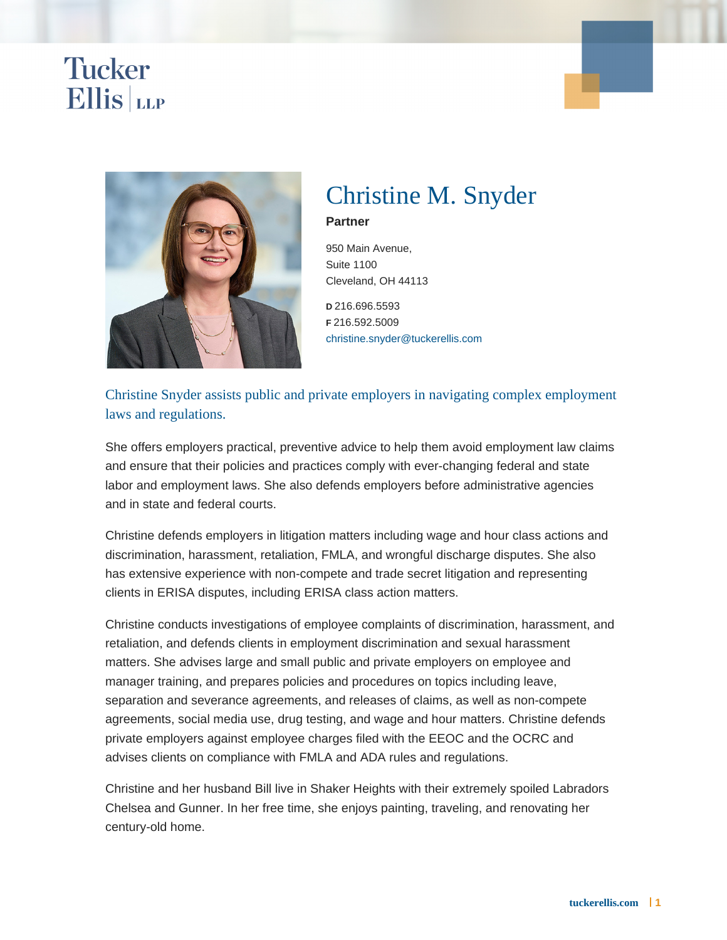# Christine M. Snyder

Partner

950 Main Avenue, Suite 1100 Cleveland, OH 44113

D 216.696.5593 F 216.592.5009 [christine.snyder@tuckerellis.com](mailto:christine.snyder@tuckerellis.com)

Christine Snyder assists public and private employers in navigating complex employment laws and regulations.

She offers employers practical, preventive advice to help them avoid employment law claims and ensure that their policies and practices comply with ever-changing federal and state labor and employment laws. She also defends employers before administrative agencies and in state and federal courts.

Christine defends employers in litigation matters including wage and hour class actions and discrimination, harassment, retaliation, FMLA, and wrongful discharge disputes. She also has extensive experience with non-compete and trade secret litigation and representing clients in ERISA disputes, including ERISA class action matters.

Christine conducts investigations of employee complaints of discrimination, harassment, and retaliation, and defends clients in employment discrimination and sexual harassment matters. She advises large and small public and private employers on employee and manager training, and prepares policies and procedures on topics including leave, separation and severance agreements, and releases of claims, as well as non-compete agreements, social media use, drug testing, and wage and hour matters. Christine defends private employers against employee charges filed with the EEOC and the OCRC and advises clients on compliance with FMLA and ADA rules and regulations.

Christine and her husband Bill live in Shaker Heights with their extremely spoiled Labradors Chelsea and Gunner. In her free time, she enjoys painting, traveling, and renovating her century-old home.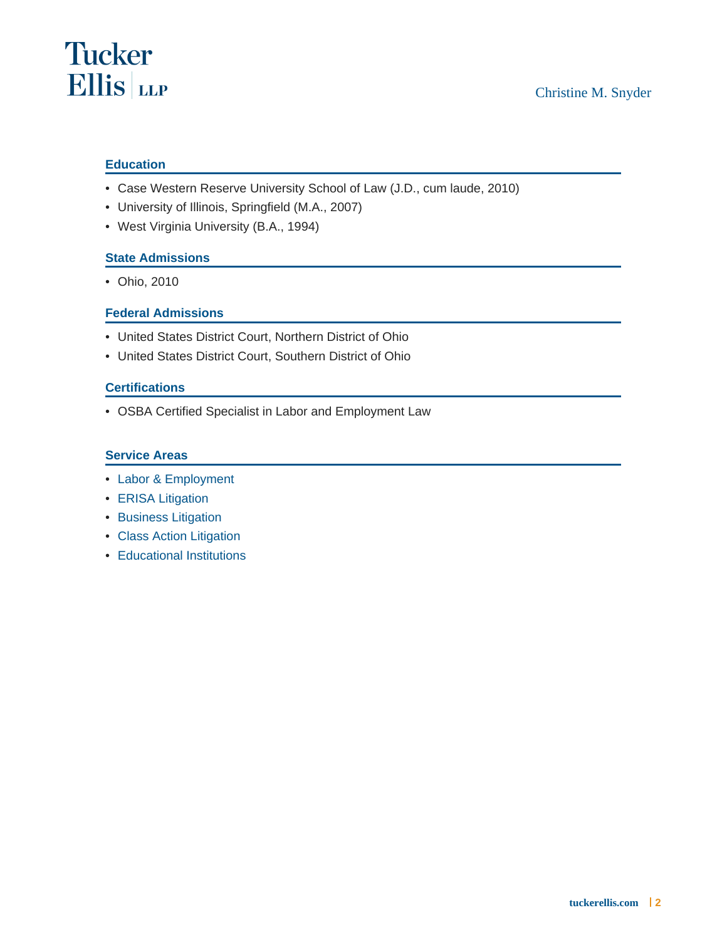## **Education**

- Case Western Reserve University School of Law (J.D., cum laude, 2010)
- University of Illinois, Springfield (M.A., 2007)
- West Virginia University (B.A., 1994)

### State Admissions

• Ohio, 2010

#### Federal Admissions

- United States District Court, Northern District of Ohio
- United States District Court, Southern District of Ohio

#### **Certifications**

• OSBA Certified Specialist in Labor and Employment Law

#### Service Areas

- [Labor & Employment](https://www.tuckerellis.com/services/labor-employment/)
- [ERISA Litigation](https://www.tuckerellis.com/services/erisa-litigation/)
- [Business Litigation](https://www.tuckerellis.com/services/business-litigation/)
- [Class Action Litigation](https://www.tuckerellis.com/services/class-action-litigation/)
- [Educational Institutions](https://www.tuckerellis.com/services/educational-institutions/)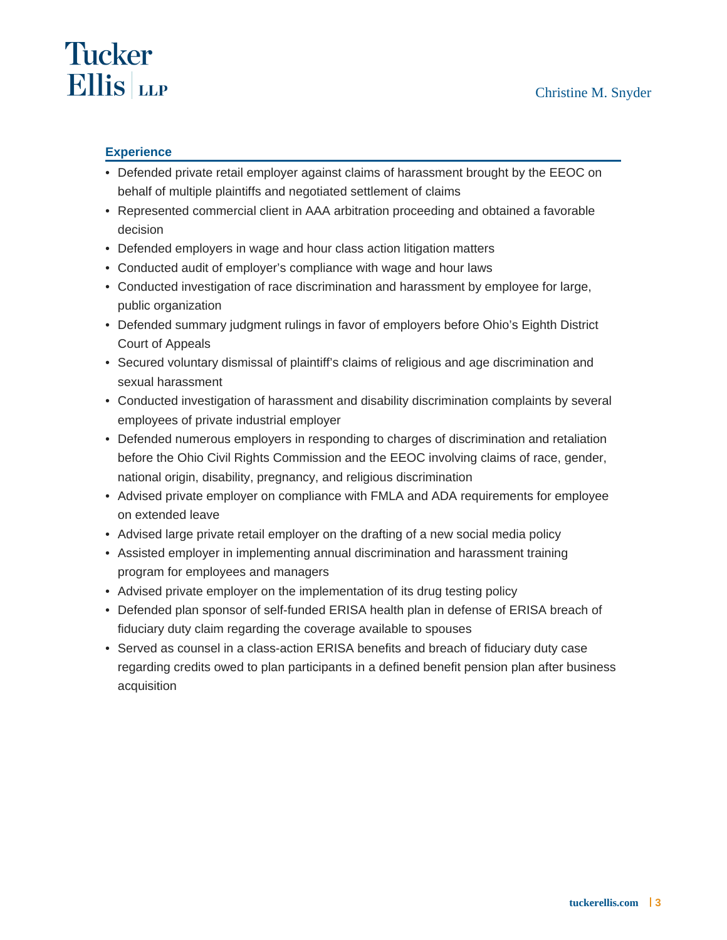# **Tucker Ellis** LLP

# **Experience**

- Defended private retail employer against claims of harassment brought by the EEOC on behalf of multiple plaintiffs and negotiated settlement of claims
- Represented commercial client in AAA arbitration proceeding and obtained a favorable decision
- Defended employers in wage and hour class action litigation matters
- Conducted audit of employer's compliance with wage and hour laws
- Conducted investigation of race discrimination and harassment by employee for large, public organization
- Defended summary judgment rulings in favor of employers before Ohio's Eighth District Court of Appeals
- Secured voluntary dismissal of plaintiff's claims of religious and age discrimination and sexual harassment
- Conducted investigation of harassment and disability discrimination complaints by several employees of private industrial employer
- Defended numerous employers in responding to charges of discrimination and retaliation before the Ohio Civil Rights Commission and the EEOC involving claims of race, gender, national origin, disability, pregnancy, and religious discrimination
- Advised private employer on compliance with FMLA and ADA requirements for employee on extended leave
- Advised large private retail employer on the drafting of a new social media policy
- Assisted employer in implementing annual discrimination and harassment training program for employees and managers
- Advised private employer on the implementation of its drug testing policy
- Defended plan sponsor of self-funded ERISA health plan in defense of ERISA breach of fiduciary duty claim regarding the coverage available to spouses
- Served as counsel in a class-action ERISA benefits and breach of fiduciary duty case regarding credits owed to plan participants in a defined benefit pension plan after business acquisition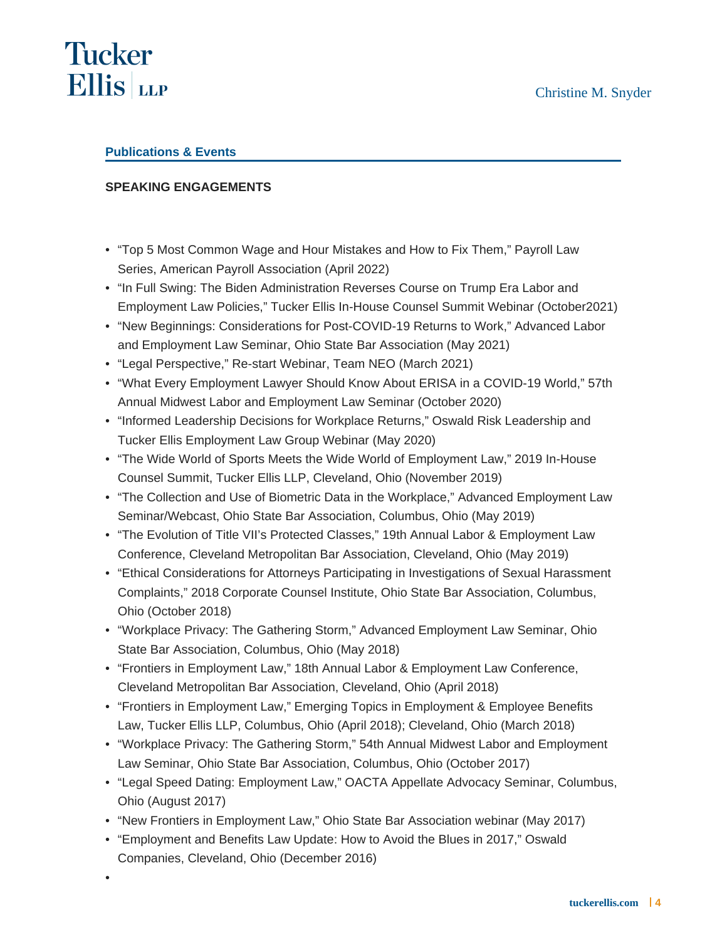# **Tucker Ellis** LLP

# **Publications & Events**

# **SPEAKING ENGAGEMENTS**

- "Top 5 Most Common Wage and Hour Mistakes and How to Fix Them," Payroll Law Series, American Payroll Association (April 2022)
- "In Full Swing: The Biden Administration Reverses Course on Trump Era Labor and Employment Law Policies," Tucker Ellis In-House Counsel Summit Webinar (October2021)
- "New Beginnings: Considerations for Post-COVID-19 Returns to Work," Advanced Labor and Employment Law Seminar, Ohio State Bar Association (May 2021)
- "Legal Perspective," Re-start Webinar, Team NEO (March 2021)
- "What Every Employment Lawyer Should Know About ERISA in a COVID-19 World," 57th Annual Midwest Labor and Employment Law Seminar (October 2020)
- "Informed Leadership Decisions for Workplace Returns," Oswald Risk Leadership and Tucker Ellis Employment Law Group Webinar (May 2020)
- "The Wide World of Sports Meets the Wide World of Employment Law," 2019 In-House Counsel Summit, Tucker Ellis LLP, Cleveland, Ohio (November 2019)
- "The Collection and Use of Biometric Data in the Workplace," Advanced Employment Law Seminar/Webcast, Ohio State Bar Association, Columbus, Ohio (May 2019)
- "The Evolution of Title VII's Protected Classes," 19th Annual Labor & Employment Law Conference, Cleveland Metropolitan Bar Association, Cleveland, Ohio (May 2019)
- "Ethical Considerations for Attorneys Participating in Investigations of Sexual Harassment Complaints," 2018 Corporate Counsel Institute, Ohio State Bar Association, Columbus, Ohio (October 2018)
- "Workplace Privacy: The Gathering Storm," Advanced Employment Law Seminar, Ohio State Bar Association, Columbus, Ohio (May 2018)
- "Frontiers in Employment Law," 18th Annual Labor & Employment Law Conference, Cleveland Metropolitan Bar Association, Cleveland, Ohio (April 2018)
- "Frontiers in Employment Law," Emerging Topics in Employment & Employee Benefits Law, Tucker Ellis LLP, Columbus, Ohio (April 2018); Cleveland, Ohio (March 2018)
- "Workplace Privacy: The Gathering Storm," 54th Annual Midwest Labor and Employment Law Seminar, Ohio State Bar Association, Columbus, Ohio (October 2017)
- "Legal Speed Dating: Employment Law," OACTA Appellate Advocacy Seminar, Columbus, Ohio (August 2017)
- "New Frontiers in Employment Law," Ohio State Bar Association webinar (May 2017)
- "Employment and Benefits Law Update: How to Avoid the Blues in 2017," Oswald Companies, Cleveland, Ohio (December 2016)
- •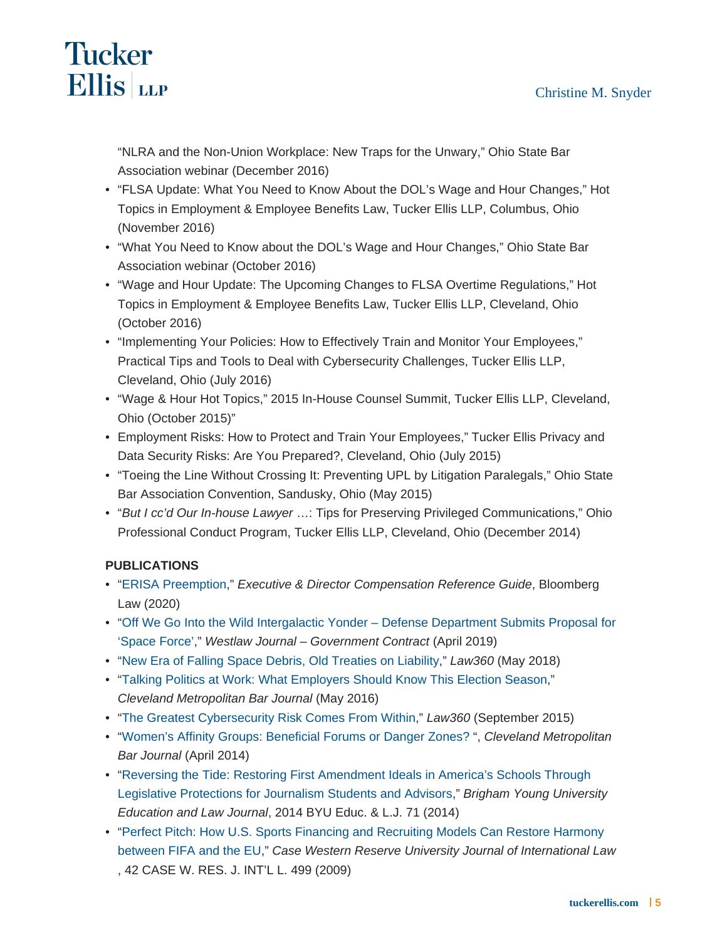"NLRA and the Non-Union Workplace: New Traps for the Unwary," Ohio State Bar Association webinar (December 2016)

- "FLSA Update: What You Need to Know About the DOL's Wage and Hour Changes," Hot Topics in Employment & Employee Benefits Law, Tucker Ellis LLP, Columbus, Ohio (November 2016)
- "What You Need to Know about the DOL's Wage and Hour Changes," Ohio State Bar Association webinar (October 2016)
- "Wage and Hour Update: The Upcoming Changes to FLSA Overtime Regulations," Hot Topics in Employment & Employee Benefits Law, Tucker Ellis LLP, Cleveland, Ohio (October 2016)
- "Implementing Your Policies: How to Effectively Train and Monitor Your Employees," Practical Tips and Tools to Deal with Cybersecurity Challenges, Tucker Ellis LLP, Cleveland, Ohio (July 2016)
- "Wage & Hour Hot Topics," 2015 In-House Counsel Summit, Tucker Ellis LLP, Cleveland, Ohio (October 2015)"
- Employment Risks: How to Protect and Train Your Employees," Tucker Ellis Privacy and Data Security Risks: Are You Prepared?, Cleveland, Ohio (July 2015)
- "Toeing the Line Without Crossing It: Preventing UPL by Litigation Paralegals," Ohio State Bar Association Convention, Sandusky, Ohio (May 2015)
- "But I cc'd Our In-house Lawyer ...: Tips for Preserving Privileged Communications," Ohio Professional Conduct Program, Tucker Ellis LLP, Cleveland, Ohio (December 2014)

## PUBLICATIONS

- "[ERISA Preemption,](/webfiles/ERISA_Preemption_Stitt_Snyder_Sanders.pdf)" Executive & Director Compensation Reference Guide, Bloomberg Law (2020)
- "Off We Go Into the Wild Intergalactic Yonder Defense Department Submits Proposal for ['Space Force'](http://www.tuckerellis.com/webfiles/Space Force_Northman and Snyder_April 2019.pdf)," Westlaw Journal – Government Contract (April 2019)
- "[New Era of Falling Space Debris, Old Treaties on Liability,](http://www.tuckerellis.com/webfiles/New Era Of Falling Space Debris Old Treaties On Liability.pdf)" Law360 (May 2018)
- "[Talking Politics at Work: What Employers Should Know This Election Season](http://www.tuckerellis.com/userfiles/file/Talking Politics at Work_Simmons_Snyder_May 2016.pdf)," Cleveland Metropolitan Bar Journal (May 2016)
- "[The Greatest Cybersecurity Risk Comes From Within](http://www.tuckerellis.com/userfiles/file/The Greatest Cybersecurity Risk Comes From Within_Caresani and Snyder_September 2015.pdf)," Law360 (September 2015)
- "[Women's Affinity Groups: Beneficial Forums or Danger Zones?](/userfiles/file/Women) ", Cleveland Metropolitan Bar Journal (April 2014)
- "Reversing the Tide: Restoring First Amendment Ideals in America's Schools Through [Legislative Protections for Journalism Students and Advisors](/userfiles/file/Reversing the Tide_BYU_Snyder_2014.pdf)," Brigham Young University Education and Law Journal, 2014 BYU Educ. & L.J. 71 (2014)
- "Perfect Pitch: How U.S. Sports Financing and Recruiting Models Can Restore Harmony [between FIFA and the EU](http://law.case.edu/journals/JIL/Documents/JIL 42 No. 1 and 2 Snyder Article.pdf)," Case Western Reserve University Journal of International Law , 42 CASE W. RES. J. INT'L L. 499 (2009)